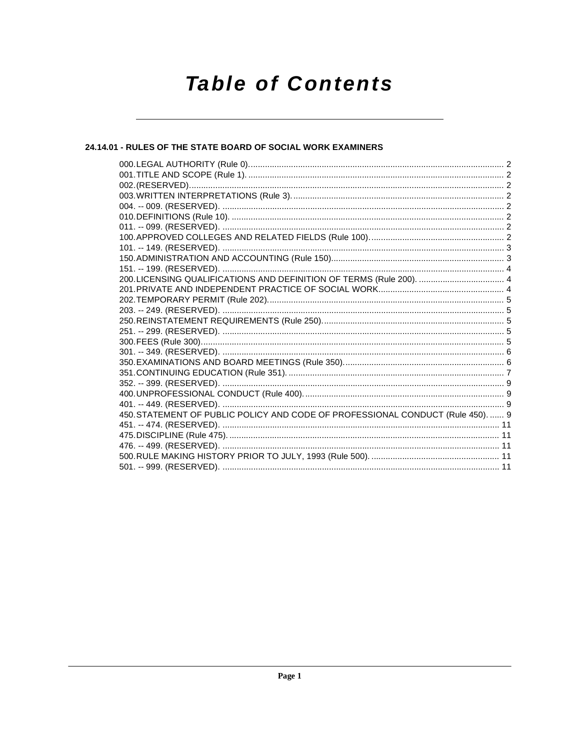# **Table of Contents**

# 24.14.01 - RULES OF THE STATE BOARD OF SOCIAL WORK EXAMINERS

| 450. STATEMENT OF PUBLIC POLICY AND CODE OF PROFESSIONAL CONDUCT (Rule 450).  9 |  |
|---------------------------------------------------------------------------------|--|
|                                                                                 |  |
|                                                                                 |  |
|                                                                                 |  |
|                                                                                 |  |
|                                                                                 |  |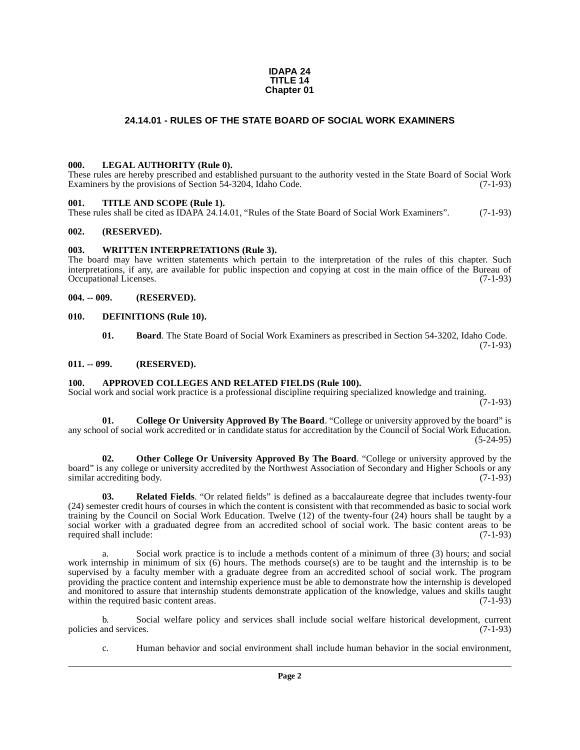#### **IDAPA 24 TITLE 14 Chapter 01**

# **24.14.01 - RULES OF THE STATE BOARD OF SOCIAL WORK EXAMINERS**

#### <span id="page-1-1"></span><span id="page-1-0"></span>**000. LEGAL AUTHORITY (Rule 0).**

These rules are hereby prescribed and established pursuant to the authority vested in the State Board of Social Work Examiners by the provisions of Section 54-3204, Idaho Code. (7-1-93)

#### <span id="page-1-2"></span>**001. TITLE AND SCOPE (Rule 1).**

These rules shall be cited as IDAPA 24.14.01, "Rules of the State Board of Social Work Examiners". (7-1-93)

#### <span id="page-1-3"></span>**002. (RESERVED).**

#### <span id="page-1-4"></span>**003. WRITTEN INTERPRETATIONS (Rule 3).**

The board may have written statements which pertain to the interpretation of the rules of this chapter. Such interpretations, if any, are available for public inspection and copying at cost in the main office of the Bureau of Occupational Licenses. (7-1-93)

#### <span id="page-1-5"></span>**004. -- 009. (RESERVED).**

#### <span id="page-1-6"></span>**010. DEFINITIONS (Rule 10).**

<span id="page-1-12"></span><span id="page-1-10"></span>**01. Board**. The State Board of Social Work Examiners as prescribed in Section 54-3202, Idaho Code. (7-1-93)

#### <span id="page-1-7"></span>**011. -- 099. (RESERVED).**

#### <span id="page-1-9"></span><span id="page-1-8"></span>**100. APPROVED COLLEGES AND RELATED FIELDS (Rule 100).**

Social work and social work practice is a professional discipline requiring specialized knowledge and training.  $(7-1-93)$ 

<span id="page-1-11"></span>**01. College Or University Approved By The Board**. "College or university approved by the board" is any school of social work accredited or in candidate status for accreditation by the Council of Social Work Education. (5-24-95)

<span id="page-1-13"></span>**02. Other College Or University Approved By The Board**. "College or university approved by the board" is any college or university accredited by the Northwest Association of Secondary and Higher Schools or any<br>(7-1-93) similar accrediting body.

<span id="page-1-14"></span>**03. Related Fields**. "Or related fields" is defined as a baccalaureate degree that includes twenty-four (24) semester credit hours of courses in which the content is consistent with that recommended as basic to social work training by the Council on Social Work Education. Twelve (12) of the twenty-four (24) hours shall be taught by a social worker with a graduated degree from an accredited school of social work. The basic content areas to be required shall include: (7-1-93)

a. Social work practice is to include a methods content of a minimum of three (3) hours; and social work internship in minimum of six (6) hours. The methods course(s) are to be taught and the internship is to be supervised by a faculty member with a graduate degree from an accredited school of social work. The program providing the practice content and internship experience must be able to demonstrate how the internship is developed and monitored to assure that internship students demonstrate application of the knowledge, values and skills taught within the required basic content areas. within the required basic content areas.

b. Social welfare policy and services shall include social welfare historical development, current policies and services. (7-1-93)

c. Human behavior and social environment shall include human behavior in the social environment,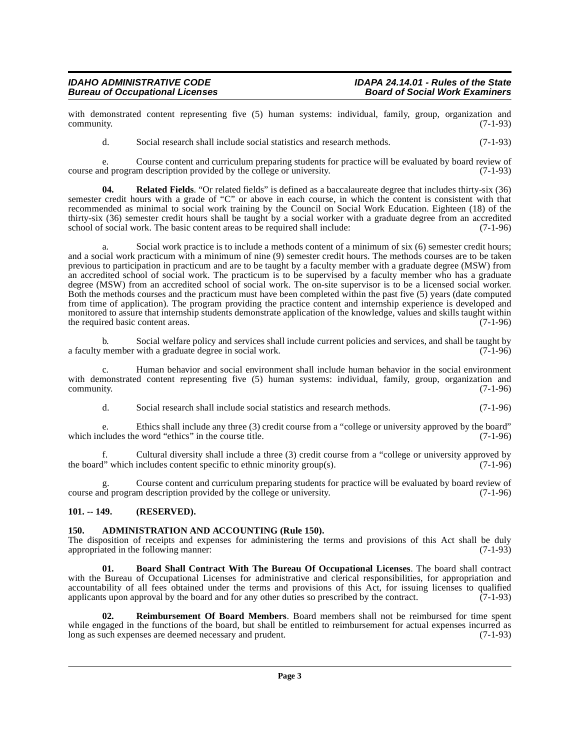with demonstrated content representing five (5) human systems: individual, family, group, organization and community. (7-1-93) community. (7-1-93)

d. Social research shall include social statistics and research methods. (7-1-93)

e. Course content and curriculum preparing students for practice will be evaluated by board review of nd program description provided by the college or university. course and program description provided by the college or university.

**04. Related Fields**. "Or related fields" is defined as a baccalaureate degree that includes thirty-six (36) semester credit hours with a grade of "C" or above in each course, in which the content is consistent with that recommended as minimal to social work training by the Council on Social Work Education. Eighteen (18) of the thirty-six (36) semester credit hours shall be taught by a social worker with a graduate degree from an accredited school of social work. The basic content areas to be required shall include: (7-1-96) school of social work. The basic content areas to be required shall include:

a. Social work practice is to include a methods content of a minimum of six (6) semester credit hours; and a social work practicum with a minimum of nine (9) semester credit hours. The methods courses are to be taken previous to participation in practicum and are to be taught by a faculty member with a graduate degree (MSW) from an accredited school of social work. The practicum is to be supervised by a faculty member who has a graduate degree (MSW) from an accredited school of social work. The on-site supervisor is to be a licensed social worker. Both the methods courses and the practicum must have been completed within the past five (5) years (date computed from time of application). The program providing the practice content and internship experience is developed and monitored to assure that internship students demonstrate application of the knowledge, values and skills taught within the required basic content areas. (7-1-96) the required basic content areas.

b. Social welfare policy and services shall include current policies and services, and shall be taught by member with a graduate degree in social work. (7-1-96) a faculty member with a graduate degree in social work.

c. Human behavior and social environment shall include human behavior in the social environment with demonstrated content representing five (5) human systems: individual, family, group, organization and community. (7-1-96)  $\epsilon$  community.  $(7-1-96)$ 

d. Social research shall include social statistics and research methods. (7-1-96)

e. Ethics shall include any three (3) credit course from a "college or university approved by the board" cludes the word "ethics" in the course title. (7-1-96) which includes the word "ethics" in the course title.

f. Cultural diversity shall include a three (3) credit course from a "college or university approved by the board" which includes content specific to ethnic minority group(s).  $(7-1-96)$ 

g. Course content and curriculum preparing students for practice will be evaluated by board review of course and program description provided by the college or university. (7-1-96)

# <span id="page-2-0"></span>**101. -- 149. (RESERVED).**

# <span id="page-2-2"></span><span id="page-2-1"></span>**150. ADMINISTRATION AND ACCOUNTING (Rule 150).**

The disposition of receipts and expenses for administering the terms and provisions of this Act shall be duly appropriated in the following manner: (7-1-93)

<span id="page-2-3"></span>**01. Board Shall Contract With The Bureau Of Occupational Licenses**. The board shall contract with the Bureau of Occupational Licenses for administrative and clerical responsibilities, for appropriation and accountability of all fees obtained under the terms and provisions of this Act, for issuing licenses to qualified applicants upon approval by the board and for any other duties so prescribed by the contract. (7-1-93)

<span id="page-2-4"></span>**02. Reimbursement Of Board Members**. Board members shall not be reimbursed for time spent while engaged in the functions of the board, but shall be entitled to reimbursement for actual expenses incurred as long as such expenses are deemed necessary and prudent. (7-1-93) long as such expenses are deemed necessary and prudent.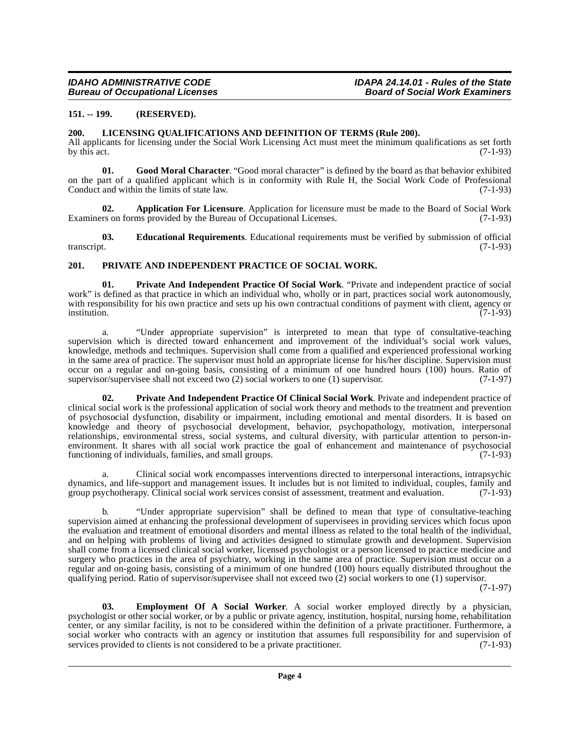### <span id="page-3-0"></span>**151. -- 199. (RESERVED).**

#### <span id="page-3-7"></span><span id="page-3-1"></span>**200. LICENSING QUALIFICATIONS AND DEFINITION OF TERMS (Rule 200).**

All applicants for licensing under the Social Work Licensing Act must meet the minimum qualifications as set forth by this act. (7-1-93) by this act.  $(7-1-93)$ 

<span id="page-3-6"></span>**01. Good Moral Character**. "Good moral character" is defined by the board as that behavior exhibited on the part of a qualified applicant which is in conformity with Rule H, the Social Work Code of Professional Conduct and within the limits of state law. (7-1-93)

<span id="page-3-3"></span>**02. Application For Licensure**. Application for licensure must be made to the Board of Social Work rs on forms provided by the Bureau of Occupational Licenses. (7-1-93) Examiners on forms provided by the Bureau of Occupational Licenses.

<span id="page-3-4"></span>**03. Educational Requirements**. Educational requirements must be verified by submission of official transcript. (7-1-93)

### <span id="page-3-9"></span><span id="page-3-2"></span>**201. PRIVATE AND INDEPENDENT PRACTICE OF SOCIAL WORK.**

**01. Private And Independent Practice Of Social Work**. "Private and independent practice of social work" is defined as that practice in which an individual who, wholly or in part, practices social work autonomously, with responsibility for his own practice and sets up his own contractual conditions of payment with client, agency or<br>(7-1-93) institution. (7-1-93)

a. "Under appropriate supervision" is interpreted to mean that type of consultative-teaching supervision which is directed toward enhancement and improvement of the individual's social work values, knowledge, methods and techniques. Supervision shall come from a qualified and experienced professional working in the same area of practice. The supervisor must hold an appropriate license for his/her discipline. Supervision must occur on a regular and on-going basis, consisting of a minimum of one hundred hours (100) hours. Ratio of supervisor/supervises shall not exceed two (2) social workers to one (1) supervisor.  $(7-1-97)$ supervisor/supervisee shall not exceed two  $(2)$  social workers to one  $(1)$  supervisor.

<span id="page-3-8"></span>**02. Private And Independent Practice Of Clinical Social Work**. Private and independent practice of clinical social work is the professional application of social work theory and methods to the treatment and prevention of psychosocial dysfunction, disability or impairment, including emotional and mental disorders. It is based on knowledge and theory of psychosocial development, behavior, psychopathology, motivation, interpersonal relationships, environmental stress, social systems, and cultural diversity, with particular attention to person-inenvironment. It shares with all social work practice the goal of enhancement and maintenance of psychosocial functioning of individuals, families, and small groups. (7-1-93) functioning of individuals, families, and small groups.

a. Clinical social work encompasses interventions directed to interpersonal interactions, intrapsychic dynamics, and life-support and management issues. It includes but is not limited to individual, couples, family and group psychotherapy. Clinical social work services consist of assessment, treatment and evaluation. (7-1-93)

b. "Under appropriate supervision" shall be defined to mean that type of consultative-teaching supervision aimed at enhancing the professional development of supervisees in providing services which focus upon the evaluation and treatment of emotional disorders and mental illness as related to the total health of the individual, and on helping with problems of living and activities designed to stimulate growth and development. Supervision shall come from a licensed clinical social worker, licensed psychologist or a person licensed to practice medicine and surgery who practices in the area of psychiatry, working in the same area of practice. Supervision must occur on a regular and on-going basis, consisting of a minimum of one hundred (100) hours equally distributed throughout the qualifying period. Ratio of supervisor/supervisee shall not exceed two (2) social workers to one (1) supervisor.

(7-1-97)

<span id="page-3-5"></span>**03. Employment Of A Social Worker**. A social worker employed directly by a physician, psychologist or other social worker, or by a public or private agency, institution, hospital, nursing home, rehabilitation center, or any similar facility, is not to be considered within the definition of a private practitioner. Furthermore, a social worker who contracts with an agency or institution that assumes full responsibility for and supervision of services provided to clients is not considered to be a private practitioner. (7-1-93) services provided to clients is not considered to be a private practitioner.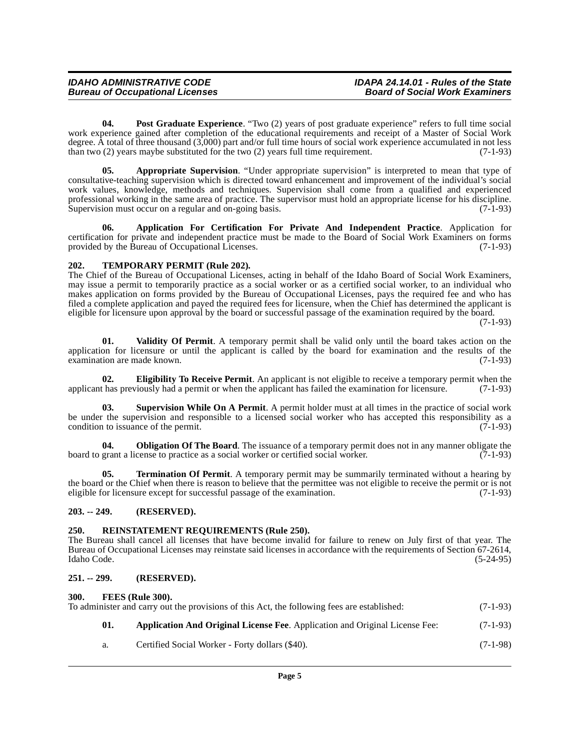<span id="page-4-11"></span>**04. Post Graduate Experience**. "Two (2) years of post graduate experience" refers to full time social work experience gained after completion of the educational requirements and receipt of a Master of Social Work degree. A total of three thousand (3,000) part and/or full time hours of social work experience accumulated in not less than two  $(2)$  years maybe substituted for the two  $(2)$  years full time requirement.  $(7-1-93)$ 

<span id="page-4-7"></span>**05. Appropriate Supervision**. "Under appropriate supervision" is interpreted to mean that type of consultative-teaching supervision which is directed toward enhancement and improvement of the individual's social work values, knowledge, methods and techniques. Supervision shall come from a qualified and experienced professional working in the same area of practice. The supervisor must hold an appropriate license for his discipline. Supervision must occur on a regular and on-going basis. (7-1-93)

<span id="page-4-6"></span>**06. Application For Certification For Private And Independent Practice**. Application for certification for private and independent practice must be made to the Board of Social Work Examiners on forms provided by the Bureau of Occupational Licenses. (7-1-93)

# <span id="page-4-14"></span><span id="page-4-0"></span>**202. TEMPORARY PERMIT (Rule 202).**

The Chief of the Bureau of Occupational Licenses, acting in behalf of the Idaho Board of Social Work Examiners, may issue a permit to temporarily practice as a social worker or as a certified social worker, to an individual who makes application on forms provided by the Bureau of Occupational Licenses, pays the required fee and who has filed a complete application and payed the required fees for licensure, when the Chief has determined the applicant is eligible for licensure upon approval by the board or successful passage of the examination required by the board.

(7-1-93)

<span id="page-4-16"></span>**01. Validity Of Permit**. A temporary permit shall be valid only until the board takes action on the application for licensure or until the applicant is called by the board for examination and the results of the examination are made known.  $(7-1-93)$ examination are made known.

<span id="page-4-8"></span>**02. Eligibility To Receive Permit**. An applicant is not eligible to receive a temporary permit when the applicant has previously had a permit or when the applicant has failed the examination for licensure. (7-1-93)

<span id="page-4-13"></span>**03. Supervision While On A Permit**. A permit holder must at all times in the practice of social work be under the supervision and responsible to a licensed social worker who has accepted this responsibility as a condition to issuance of the permit. (7-1-93) condition to issuance of the permit.

<span id="page-4-10"></span>**04. Obligation Of The Board**. The issuance of a temporary permit does not in any manner obligate the grant a license to practice as a social worker or certified social worker. (7-1-93) board to grant a license to practice as a social worker or certified social worker.

<span id="page-4-15"></span>**05. Termination Of Permit**. A temporary permit may be summarily terminated without a hearing by the board or the Chief when there is reason to believe that the permittee was not eligible to receive the permit or is not eligible for licensure except for successful passage of the examination. (7-1-93)

#### <span id="page-4-1"></span>**203. -- 249. (RESERVED).**

# <span id="page-4-12"></span><span id="page-4-2"></span>**250. REINSTATEMENT REQUIREMENTS (Rule 250).**

The Bureau shall cancel all licenses that have become invalid for failure to renew on July first of that year. The Bureau of Occupational Licenses may reinstate said licenses in accordance with the requirements of Section 67-2614, Idaho Code. (5-24-95)

#### <span id="page-4-3"></span>**251. -- 299. (RESERVED).**

#### <span id="page-4-9"></span><span id="page-4-4"></span>**300. FEES (Rule 300).**

<span id="page-4-5"></span>

| To administer and carry out the provisions of this Act, the following fees are established: |     |                                                                                    |            |
|---------------------------------------------------------------------------------------------|-----|------------------------------------------------------------------------------------|------------|
|                                                                                             | 01. | <b>Application And Original License Fee.</b> Application and Original License Fee: | $(7-1-93)$ |
|                                                                                             | a.  | Certified Social Worker - Forty dollars (\$40).                                    | $(7-1-98)$ |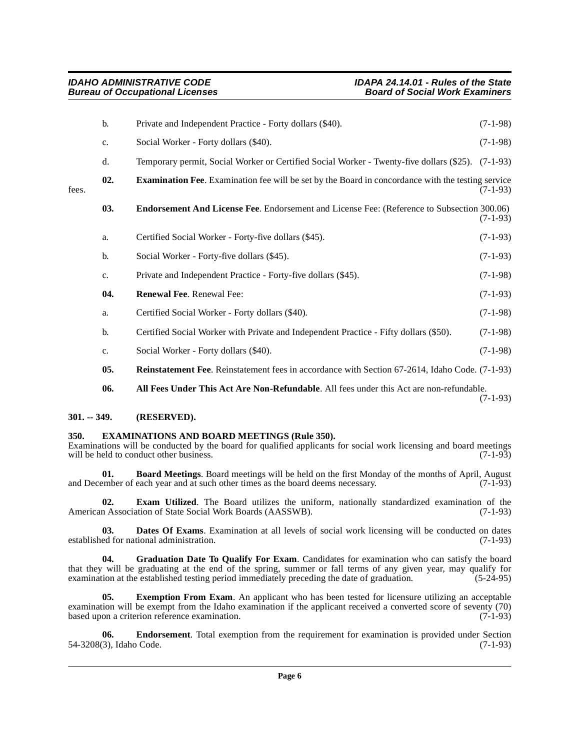<span id="page-5-8"></span><span id="page-5-5"></span>

|       | b.  | Private and Independent Practice - Forty dollars (\$40).                                                 | $(7-1-98)$ |
|-------|-----|----------------------------------------------------------------------------------------------------------|------------|
|       | c.  | Social Worker - Forty dollars (\$40).                                                                    | $(7-1-98)$ |
|       | d.  | Temporary permit, Social Worker or Certified Social Worker - Twenty-five dollars (\$25).                 | $(7-1-93)$ |
| fees. | 02. | <b>Examination Fee.</b> Examination fee will be set by the Board in concordance with the testing service | $(7-1-93)$ |
|       | 03. | <b>Endorsement And License Fee</b> . Endorsement and License Fee: (Reference to Subsection 300.06)       | $(7-1-93)$ |
|       | a.  | Certified Social Worker - Forty-five dollars (\$45).                                                     | $(7-1-93)$ |
|       | b.  | Social Worker - Forty-five dollars (\$45).                                                               | $(7-1-93)$ |
|       | c.  | Private and Independent Practice - Forty-five dollars (\$45).                                            | $(7-1-98)$ |
|       | 04. | Renewal Fee. Renewal Fee:                                                                                | $(7-1-93)$ |
|       | a.  | Certified Social Worker - Forty dollars (\$40).                                                          | $(7-1-98)$ |
|       | b.  | Certified Social Worker with Private and Independent Practice - Fifty dollars (\$50).                    | $(7-1-98)$ |
|       | c.  | Social Worker - Forty dollars (\$40).                                                                    | $(7-1-98)$ |
|       | 05. | <b>Reinstatement Fee.</b> Reinstatement fees in accordance with Section 67-2614, Idaho Code. (7-1-93)    |            |
|       | 06. | All Fees Under This Act Are Non-Refundable. All fees under this Act are non-refundable.                  | $(7-1-93)$ |

# <span id="page-5-13"></span><span id="page-5-12"></span><span id="page-5-2"></span><span id="page-5-0"></span>**301. -- 349. (RESERVED).**

#### <span id="page-5-9"></span><span id="page-5-1"></span>**350. EXAMINATIONS AND BOARD MEETINGS (Rule 350).**

Examinations will be conducted by the board for qualified applicants for social work licensing and board meetings will be held to conduct other business. will be held to conduct other business.

<span id="page-5-3"></span>**01. Board Meetings**. Board meetings will be held on the first Monday of the months of April, August ember of each year and at such other times as the board deems necessary. (7-1-93) and December of each year and at such other times as the board deems necessary.

<span id="page-5-7"></span>**02. Exam Utilized**. The Board utilizes the uniform, nationally standardized examination of the American Association of State Social Work Boards (AASSWB). (7-1-93)

<span id="page-5-4"></span>**03. Dates Of Exams**. Examination at all levels of social work licensing will be conducted on dates ed for national administration. (7-1-93) established for national administration.

<span id="page-5-11"></span>**04. Graduation Date To Qualify For Exam**. Candidates for examination who can satisfy the board that they will be graduating at the end of the spring, summer or fall terms of any given year, may qualify for examination at the established testing period immediately preceding the date of graduation.  $(5-24-95)$ examination at the established testing period immediately preceding the date of graduation.

<span id="page-5-10"></span>**05. Exemption From Exam**. An applicant who has been tested for licensure utilizing an acceptable examination will be exempt from the Idaho examination if the applicant received a converted score of seventy (70) based upon a criterion reference examination. (7-1-93)

<span id="page-5-6"></span>**06. Endorsement**. Total exemption from the requirement for examination is provided under Section (3), Idaho Code. (7-1-93) 54-3208(3), Idaho Code.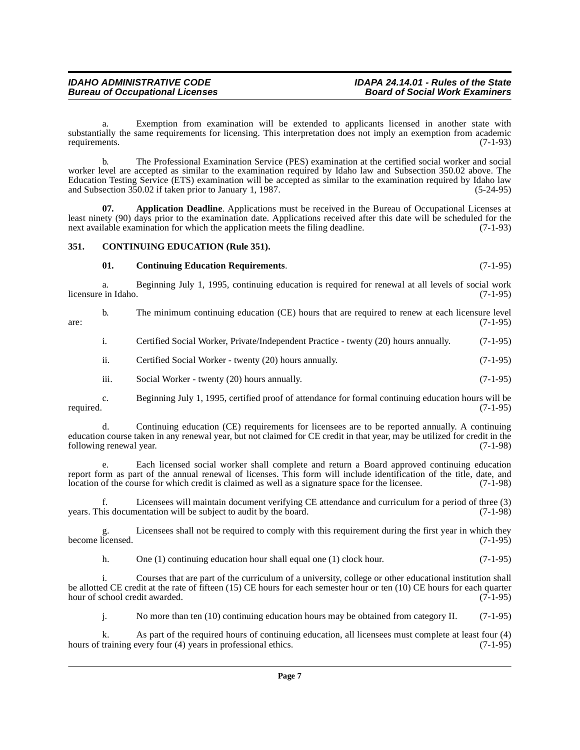#### **IDAHO ADMINISTRATIVE CODE IDAPA 24.14.01 - Rules of the State Bureau of Occupational Licenses**

 a. Exemption from examination will be extended to applicants licensed in another state with substantially the same requirements for licensing. This interpretation does not imply an exemption from academic requirements. (7-1-93) requirements.

b. The Professional Examination Service (PES) examination at the certified social worker and social worker level are accepted as similar to the examination required by Idaho law and Subsection 350.02 above. The Education Testing Service (ETS) examination will be accepted as similar to the examination required by Idaho law and Subsection 350.02 if taken prior to January 1, 1987. (5-24-95)

<span id="page-6-1"></span>**07. Application Deadline**. Applications must be received in the Bureau of Occupational Licenses at least ninety (90) days prior to the examination date. Applications received after this date will be scheduled for the next available examination for which the application meets the filing deadline. (7-1-93) next available examination for which the application meets the filing deadline.

### <span id="page-6-0"></span>**351. CONTINUING EDUCATION (Rule 351).**

# <span id="page-6-3"></span><span id="page-6-2"></span>**01. Continuing Education Requirements**. (7-1-95)

a. Beginning July 1, 1995, continuing education is required for renewal at all levels of social work in Idaho. (7-1-95) licensure in Idaho.

b. The minimum continuing education (CE) hours that are required to renew at each licensure level (7-1-95)  $\alpha$  are: (7-1-95)

i. Certified Social Worker, Private/Independent Practice - twenty (20) hours annually. (7-1-95)

ii. Certified Social Worker - twenty (20) hours annually. (7-1-95)

iii. Social Worker - twenty (20) hours annually. (7-1-95)

c. Beginning July 1, 1995, certified proof of attendance for formal continuing education hours will be required. (7-1-95)

d. Continuing education (CE) requirements for licensees are to be reported annually. A continuing education course taken in any renewal year, but not claimed for CE credit in that year, may be utilized for credit in the following renewal year.

e. Each licensed social worker shall complete and return a Board approved continuing education report form as part of the annual renewal of licenses. This form will include identification of the title, date, and location of the course for which credit is claimed as well as a signature space for the licensee. (7-1-98 location of the course for which credit is claimed as well as a signature space for the licensee.

Licensees will maintain document verifying CE attendance and curriculum for a period of three (3) years. This documentation will be subject to audit by the board. (7-1-98)

Licensees shall not be required to comply with this requirement during the first year in which they<br>(7-1-95) become licensed.

h. One (1) continuing education hour shall equal one (1) clock hour. (7-1-95)

i. Courses that are part of the curriculum of a university, college or other educational institution shall be allotted CE credit at the rate of fifteen (15) CE hours for each semester hour or ten (10) CE hours for each quarter hour of school credit awarded. (7-1-95)

j. No more than ten (10) continuing education hours may be obtained from category II. (7-1-95)

k. As part of the required hours of continuing education, all licensees must complete at least four (4) training every four (4) years in professional ethics. (7-1-95) hours of training every four (4) years in professional ethics.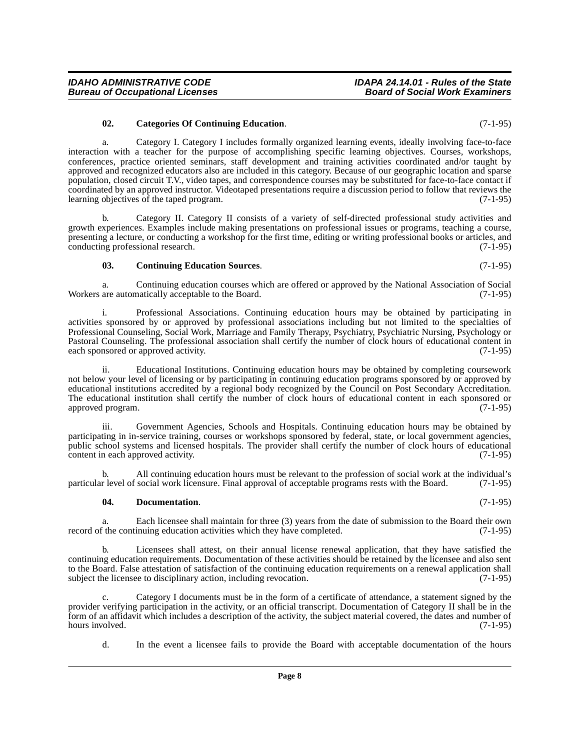<span id="page-7-0"></span>**02. Categories Of Continuing Education**. (7-1-95)

**Bureau of Occupational Licenses** 

a. Category I. Category I includes formally organized learning events, ideally involving face-to-face interaction with a teacher for the purpose of accomplishing specific learning objectives. Courses, workshops, conferences, practice oriented seminars, staff development and training activities coordinated and/or taught by approved and recognized educators also are included in this category. Because of our geographic location and sparse population, closed circuit T.V., video tapes, and correspondence courses may be substituted for face-to-face contact if coordinated by an approved instructor. Videotaped presentations require a discussion period to follow that reviews the learning objectives of the taped program. (7-1-95)

b. Category II. Category II consists of a variety of self-directed professional study activities and growth experiences. Examples include making presentations on professional issues or programs, teaching a course, presenting a lecture, or conducting a workshop for the first time, editing or writing professional books or articles, and conducting professional research. (7-1-95)

#### <span id="page-7-1"></span>**03. Continuing Education Sources**. (7-1-95)

a. Continuing education courses which are offered or approved by the National Association of Social Workers are automatically acceptable to the Board. (7-1-95)

i. Professional Associations. Continuing education hours may be obtained by participating in activities sponsored by or approved by professional associations including but not limited to the specialties of Professional Counseling, Social Work, Marriage and Family Therapy, Psychiatry, Psychiatric Nursing, Psychology or Pastoral Counseling. The professional association shall certify the number of clock hours of educational content in each sponsored or approved activity.

ii. Educational Institutions. Continuing education hours may be obtained by completing coursework not below your level of licensing or by participating in continuing education programs sponsored by or approved by educational institutions accredited by a regional body recognized by the Council on Post Secondary Accreditation. The educational institution shall certify the number of clock hours of educational content in each sponsored or approved program. (7-1-95)

iii. Government Agencies, Schools and Hospitals. Continuing education hours may be obtained by participating in in-service training, courses or workshops sponsored by federal, state, or local government agencies, public school systems and licensed hospitals. The provider shall certify the number of clock hours of educational content in each approved activity. (7-1-95)

b. All continuing education hours must be relevant to the profession of social work at the individual's r level of social work licensure. Final approval of acceptable programs rests with the Board. (7-1-95) particular level of social work licensure. Final approval of acceptable programs rests with the Board.

#### <span id="page-7-2"></span>**04. Documentation**. (7-1-95)

a. Each licensee shall maintain for three (3) years from the date of submission to the Board their own f the continuing education activities which they have completed. (7-1-95) record of the continuing education activities which they have completed.

b. Licensees shall attest, on their annual license renewal application, that they have satisfied the continuing education requirements. Documentation of these activities should be retained by the licensee and also sent to the Board. False attestation of satisfaction of the continuing education requirements on a renewal application shall subject the licensee to disciplinary action, including revocation. (7-1-95) subject the licensee to disciplinary action, including revocation.

Category I documents must be in the form of a certificate of attendance, a statement signed by the provider verifying participation in the activity, or an official transcript. Documentation of Category II shall be in the form of an affidavit which includes a description of the activity, the subject material covered, the dates and number of hours involved.

d. In the event a licensee fails to provide the Board with acceptable documentation of the hours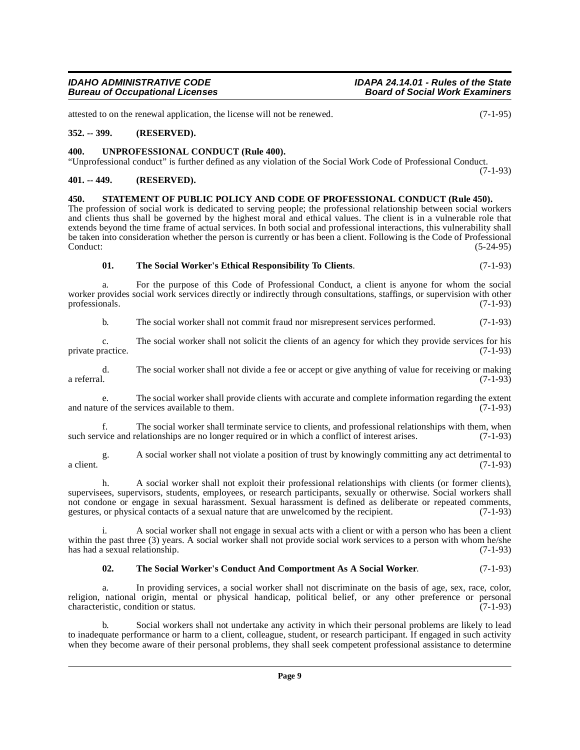# **Bureau of Occupational Licenses**

attested to on the renewal application, the license will not be renewed. (7-1-95)

#### <span id="page-8-0"></span>**352. -- 399. (RESERVED).**

#### <span id="page-8-7"></span><span id="page-8-1"></span>**400. UNPROFESSIONAL CONDUCT (Rule 400).**

"Unprofessional conduct" is further defined as any violation of the Social Work Code of Professional Conduct.

### <span id="page-8-2"></span>**401. -- 449. (RESERVED).**

<span id="page-8-4"></span><span id="page-8-3"></span>**450. STATEMENT OF PUBLIC POLICY AND CODE OF PROFESSIONAL CONDUCT (Rule 450).** The profession of social work is dedicated to serving people; the professional relationship between social workers and clients thus shall be governed by the highest moral and ethical values. The client is in a vulnerable role that extends beyond the time frame of actual services. In both social and professional interactions, this vulnerability shall be taken into consideration whether the person is currently or has been a client. Following is the Code of Professional  $\text{Conduct:}$  (5-24-95)

#### <span id="page-8-6"></span>**01. The Social Worker's Ethical Responsibility To Clients**. (7-1-93)

a. For the purpose of this Code of Professional Conduct, a client is anyone for whom the social worker provides social work services directly or indirectly through consultations, staffings, or supervision with other professionals. (7-1-93) professionals.

b. The social worker shall not commit fraud nor misrepresent services performed. (7-1-93)

c. The social worker shall not solicit the clients of an agency for which they provide services for his ractice. (7-1-93) private practice.

d. The social worker shall not divide a fee or accept or give anything of value for receiving or making a referral. (7-1-93)

e. The social worker shall provide clients with accurate and complete information regarding the extent and nature of the services available to them. (7-1-93)

f. The social worker shall terminate service to clients, and professional relationships with them, when vice and relationships are no longer required or in which a conflict of interest arises. (7-1-93) such service and relationships are no longer required or in which a conflict of interest arises.

g. A social worker shall not violate a position of trust by knowingly committing any act detrimental to a client.  $(7-1-93)$ 

h. A social worker shall not exploit their professional relationships with clients (or former clients), supervisees, supervisors, students, employees, or research participants, sexually or otherwise. Social workers shall not condone or engage in sexual harassment. Sexual harassment is defined as deliberate or repeated comments, gestures, or physical contacts of a sexual nature that are unwelcomed by the recipient. (7-1-93)

i. A social worker shall not engage in sexual acts with a client or with a person who has been a client within the past three (3) years. A social worker shall not provide social work services to a person with whom he/she has had a sexual relationship. (7-1-93)

#### <span id="page-8-5"></span>**02. The Social Worker's Conduct And Comportment As A Social Worker**. (7-1-93)

a. In providing services, a social worker shall not discriminate on the basis of age, sex, race, color, religion, national origin, mental or physical handicap, political belief, or any other preference or personal characteristic condition or status. characteristic, condition or status.

b. Social workers shall not undertake any activity in which their personal problems are likely to lead to inadequate performance or harm to a client, colleague, student, or research participant. If engaged in such activity when they become aware of their personal problems, they shall seek competent professional assistance to determine

(7-1-93)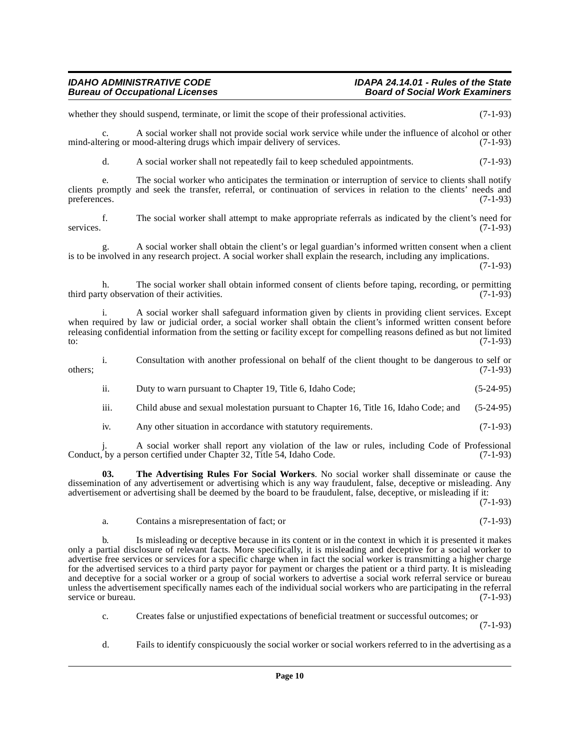# **Bureau of Occupational Licenses**

# **IDAHO ADMINISTRATIVE CODE IDAPA 24.14.01 - Rules of the State**

whether they should suspend, terminate, or limit the scope of their professional activities. (7-1-93)

c. A social worker shall not provide social work service while under the influence of alcohol or other mind-altering or mood-altering drugs which impair delivery of services. (7-1-93)

d. A social worker shall not repeatedly fail to keep scheduled appointments. (7-1-93)

e. The social worker who anticipates the termination or interruption of service to clients shall notify clients promptly and seek the transfer, referral, or continuation of services in relation to the clients' needs and preferences. (7-1-93)

f. The social worker shall attempt to make appropriate referrals as indicated by the client's need for services. (7-1-93)

g. A social worker shall obtain the client's or legal guardian's informed written consent when a client is to be involved in any research project. A social worker shall explain the research, including any implications. (7-1-93)

h. The social worker shall obtain informed consent of clients before taping, recording, or permitting third party observation of their activities. (7-1-93)

i. A social worker shall safeguard information given by clients in providing client services. Except when required by law or judicial order, a social worker shall obtain the client's informed written consent before releasing confidential information from the setting or facility except for compelling reasons defined as but not limited to:  $(7-1-93)$ 

i. Consultation with another professional on behalf of the client thought to be dangerous to self or  $\omega$  others;  $(7-1-93)$ 

ii. Duty to warn pursuant to Chapter 19, Title 6, Idaho Code; (5-24-95)

iii. Child abuse and sexual molestation pursuant to Chapter 16, Title 16, Idaho Code; and (5-24-95)

<span id="page-9-0"></span>iv. Any other situation in accordance with statutory requirements. (7-1-93)

j. A social worker shall report any violation of the law or rules, including Code of Professional Conduct, by a person certified under Chapter 32, Title 54, Idaho Code. (7-1-93)

**03. The Advertising Rules For Social Workers**. No social worker shall disseminate or cause the dissemination of any advertisement or advertising which is any way fraudulent, false, deceptive or misleading. Any advertisement or advertising shall be deemed by the board to be fraudulent, false, deceptive, or misleading if it:

(7-1-93)

a. Contains a misrepresentation of fact; or (7-1-93)

b. Is misleading or deceptive because in its content or in the context in which it is presented it makes only a partial disclosure of relevant facts. More specifically, it is misleading and deceptive for a social worker to advertise free services or services for a specific charge when in fact the social worker is transmitting a higher charge for the advertised services to a third party payor for payment or charges the patient or a third party. It is misleading and deceptive for a social worker or a group of social workers to advertise a social work referral service or bureau unless the advertisement specifically names each of the individual social workers who are participating in the referral service or bureau. (7-1-93)

c. Creates false or unjustified expectations of beneficial treatment or successful outcomes; or (7-1-93)

d. Fails to identify conspicuously the social worker or social workers referred to in the advertising as a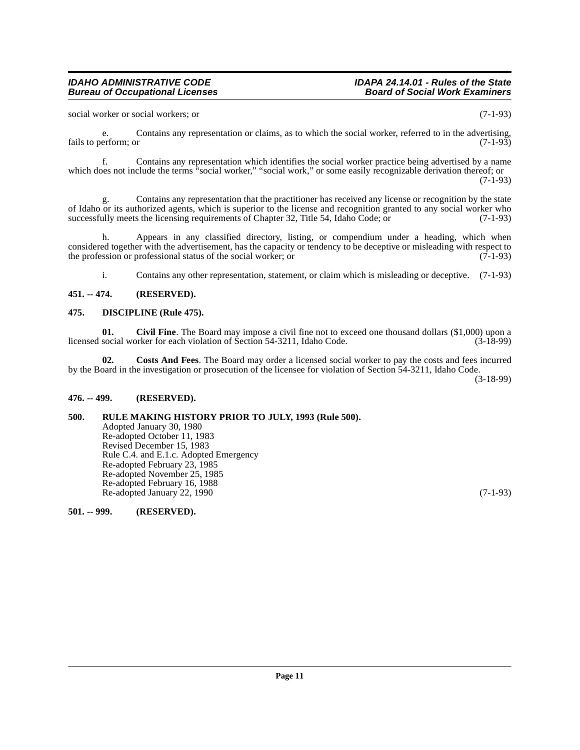# **Bureau of Occupational Licenses**

social worker or social workers; or (7-1-93)

e. Contains any representation or claims, as to which the social worker, referred to in the advertising, fails to perform; or (7-1-93)

f. Contains any representation which identifies the social worker practice being advertised by a name which does not include the terms "social worker," "social work," or some easily recognizable derivation thereof; or  $(7-1-93)$ 

g. Contains any representation that the practitioner has received any license or recognition by the state of Idaho or its authorized agents, which is superior to the license and recognition granted to any social worker who successfully meets the licensing requirements of Chapter 32, Title 54, Idaho Code; or (7-1-93) successfully meets the licensing requirements of Chapter 32, Title 54, Idaho Code; or

h. Appears in any classified directory, listing, or compendium under a heading, which when considered together with the advertisement, has the capacity or tendency to be deceptive or misleading with respect to the profession or professional status of the social worker; or (7-1-93) the profession or professional status of the social worker; or

<span id="page-10-7"></span><span id="page-10-5"></span>i. Contains any other representation, statement, or claim which is misleading or deceptive. (7-1-93)

### <span id="page-10-0"></span>**451. -- 474. (RESERVED).**

#### <span id="page-10-1"></span>**475. DISCIPLINE (Rule 475).**

**01. Civil Fine**. The Board may impose a civil fine not to exceed one thousand dollars (\$1,000) upon a licensed social worker for each violation of Section 54-3211, Idaho Code. (3-18-99)

<span id="page-10-6"></span>**02. Costs And Fees**. The Board may order a licensed social worker to pay the costs and fees incurred by the Board in the investigation or prosecution of the licensee for violation of Section 54-3211, Idaho Code.

(3-18-99)

#### <span id="page-10-2"></span>**476. -- 499. (RESERVED).**

#### <span id="page-10-3"></span>**500. RULE MAKING HISTORY PRIOR TO JULY, 1993 (Rule 500).**

Adopted January 30, 1980 Re-adopted October 11, 1983 Revised December 15, 1983 Rule C.4. and E.1.c. Adopted Emergency Re-adopted February 23, 1985 Re-adopted November 25, 1985 Re-adopted February 16, 1988 Re-adopted January 22, 1990 (7-1-93)

<span id="page-10-4"></span>**501. -- 999. (RESERVED).**